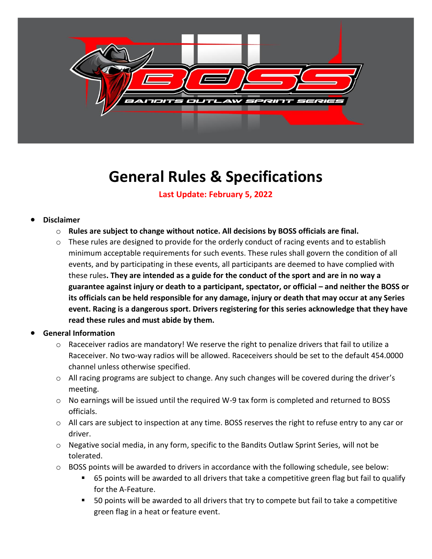

## **General Rules & Specifications**

**Last Update: February 5, 2022**

## • **Disclaimer**

- o **Rules are subject to change without notice. All decisions by BOSS officials are final.**
- $\circ$  These rules are designed to provide for the orderly conduct of racing events and to establish minimum acceptable requirements for such events. These rules shall govern the condition of all events, and by participating in these events, all participants are deemed to have complied with these rules**. They are intended as a guide for the conduct of the sport and are in no way a guarantee against injury or death to a participant, spectator, or official – and neither the BOSS or its officials can be held responsible for any damage, injury or death that may occur at any Series event. Racing is a dangerous sport. Drivers registering for this series acknowledge that they have read these rules and must abide by them.**
- **General Information**
	- $\circ$  Raceceiver radios are mandatory! We reserve the right to penalize drivers that fail to utilize a Raceceiver. No two-way radios will be allowed. Raceceivers should be set to the default 454.0000 channel unless otherwise specified.
	- o All racing programs are subject to change. Any such changes will be covered during the driver's meeting.
	- $\circ$  No earnings will be issued until the required W-9 tax form is completed and returned to BOSS officials.
	- o All cars are subject to inspection at any time. BOSS reserves the right to refuse entry to any car or driver.
	- o Negative social media, in any form, specific to the Bandits Outlaw Sprint Series, will not be tolerated.
	- $\circ$  BOSS points will be awarded to drivers in accordance with the following schedule, see below:
		- 65 points will be awarded to all drivers that take a competitive green flag but fail to qualify for the A-Feature.
		- 50 points will be awarded to all drivers that try to compete but fail to take a competitive green flag in a heat or feature event.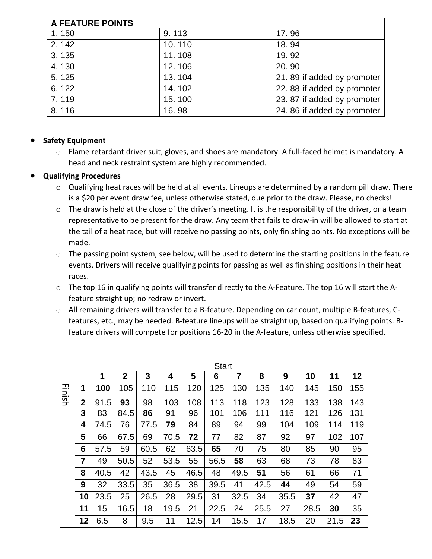| <b>A FEATURE POINTS</b> |        |                             |  |  |  |  |
|-------------------------|--------|-----------------------------|--|--|--|--|
| 1.150                   | 9.113  | 17.96                       |  |  |  |  |
| 2.142                   | 10.110 | 18.94                       |  |  |  |  |
| 3.135                   | 11.108 | 19.92                       |  |  |  |  |
| 4.130                   | 12.106 | 20.90                       |  |  |  |  |
| 5.125                   | 13.104 | 21. 89-if added by promoter |  |  |  |  |
| 6.122                   | 14.102 | 22. 88-if added by promoter |  |  |  |  |
| 7.119                   | 15.100 | 23. 87-if added by promoter |  |  |  |  |
| 8.116                   | 16.98  | 24. 86-if added by promoter |  |  |  |  |

## • **Safety Equipment**

o Flame retardant driver suit, gloves, and shoes are mandatory. A full-faced helmet is mandatory. A head and neck restraint system are highly recommended.

## • **Qualifying Procedures**

- o Qualifying heat races will be held at all events. Lineups are determined by a random pill draw. There is a \$20 per event draw fee, unless otherwise stated, due prior to the draw. Please, no checks!
- o The draw is held at the close of the driver's meeting. It is the responsibility of the driver, or a team representative to be present for the draw. Any team that fails to draw-in will be allowed to start at the tail of a heat race, but will receive no passing points, only finishing points. No exceptions will be made.
- $\circ$  The passing point system, see below, will be used to determine the starting positions in the feature events. Drivers will receive qualifying points for passing as well as finishing positions in their heat races.
- o The top 16 in qualifying points will transfer directly to the A-Feature. The top 16 will start the Afeature straight up; no redraw or invert.
- o All remaining drivers will transfer to a B-feature. Depending on car count, multiple B-features, Cfeatures, etc., may be needed. B-feature lineups will be straight up, based on qualifying points. Bfeature drivers will compete for positions 16-20 in the A-feature, unless otherwise specified.

|        |                | <b>Start</b> |              |      |      |      |      |      |      |      |      |      |     |
|--------|----------------|--------------|--------------|------|------|------|------|------|------|------|------|------|-----|
|        |                | 1            | $\mathbf{2}$ | 3    | 4    | 5    | 6    | 7    | 8    | 9    | 10   | 11   | 12  |
| Finish | 1              | 100          | 105          | 110  | 115  | 120  | 125  | 130  | 135  | 140  | 145  | 150  | 155 |
|        | $\overline{2}$ | 91.5         | 93           | 98   | 103  | 108  | 113  | 118  | 123  | 128  | 133  | 138  | 143 |
|        | 3              | 83           | 84.5         | 86   | 91   | 96   | 101  | 106  | 111  | 116  | 121  | 126  | 131 |
|        | 4              | 74.5         | 76           | 77.5 | 79   | 84   | 89   | 94   | 99   | 104  | 109  | 114  | 119 |
|        | 5              | 66           | 67.5         | 69   | 70.5 | 72   | 77   | 82   | 87   | 92   | 97   | 102  | 107 |
|        | 6              | 57.5         | 59           | 60.5 | 62   | 63.5 | 65   | 70   | 75   | 80   | 85   | 90   | 95  |
|        | $\overline{7}$ | 49           | 50.5         | 52   | 53.5 | 55   | 56.5 | 58   | 63   | 68   | 73   | 78   | 83  |
|        | 8              | 40.5         | 42           | 43.5 | 45   | 46.5 | 48   | 49.5 | 51   | 56   | 61   | 66   | 71  |
|        | 9              | 32           | 33.5         | 35   | 36.5 | 38   | 39.5 | 41   | 42.5 | 44   | 49   | 54   | 59  |
|        | 10             | 23.5         | 25           | 26.5 | 28   | 29.5 | 31   | 32.5 | 34   | 35.5 | 37   | 42   | 47  |
|        | 11             | 15           | 16.5         | 18   | 19.5 | 21   | 22.5 | 24   | 25.5 | 27   | 28.5 | 30   | 35  |
|        | 12             | 6.5          | 8            | 9.5  | 11   | 12.5 | 14   | 15.5 | 17   | 18.5 | 20   | 21.5 | 23  |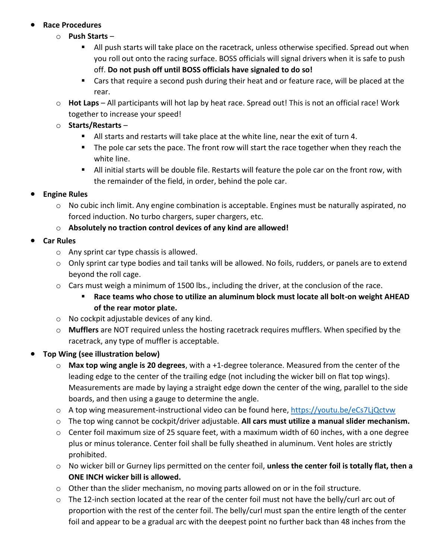## • **Race Procedures**

- o **Push Starts**
	- **EXECT** All push starts will take place on the racetrack, unless otherwise specified. Spread out when you roll out onto the racing surface. BOSS officials will signal drivers when it is safe to push off. **Do not push off until BOSS officials have signaled to do so!**
	- Cars that require a second push during their heat and or feature race, will be placed at the rear.
- o **Hot Laps** All participants will hot lap by heat race. Spread out! This is not an official race! Work together to increase your speed!
- o **Starts/Restarts**
	- All starts and restarts will take place at the white line, near the exit of turn 4.
	- The pole car sets the pace. The front row will start the race together when they reach the white line.
	- All initial starts will be double file. Restarts will feature the pole car on the front row, with the remainder of the field, in order, behind the pole car.

## • **Engine Rules**

- o No cubic inch limit. Any engine combination is acceptable. Engines must be naturally aspirated, no forced induction. No turbo chargers, super chargers, etc.
- o **Absolutely no traction control devices of any kind are allowed!**
- **Car Rules**
	- o Any sprint car type chassis is allowed.
	- $\circ$  Only sprint car type bodies and tail tanks will be allowed. No foils, rudders, or panels are to extend beyond the roll cage.
	- $\circ$  Cars must weigh a minimum of 1500 lbs., including the driver, at the conclusion of the race.
		- **Race teams who chose to utilize an aluminum block must locate all bolt-on weight AHEAD of the rear motor plate.**
	- o No cockpit adjustable devices of any kind.
	- o **Mufflers** are NOT required unless the hosting racetrack requires mufflers. When specified by the racetrack, any type of muffler is acceptable.

## • **Top Wing (see illustration below)**

- o **Max top wing angle is 20 degrees**, with a +1-degree tolerance. Measured from the center of the leading edge to the center of the trailing edge (not including the wicker bill on flat top wings). Measurements are made by laying a straight edge down the center of the wing, parallel to the side boards, and then using a gauge to determine the angle.
- o A top wing measurement-instructional video can be found here,<https://youtu.be/eCs7LjQctvw>
- o The top wing cannot be cockpit/driver adjustable. **All cars must utilize a manual slider mechanism.**
- o Center foil maximum size of 25 square feet, with a maximum width of 60 inches, with a one degree plus or minus tolerance. Center foil shall be fully sheathed in aluminum. Vent holes are strictly prohibited.
- o No wicker bill or Gurney lips permitted on the center foil, **unless the center foil is totally flat, then a ONE INCH wicker bill is allowed.**
- $\circ$  Other than the slider mechanism, no moving parts allowed on or in the foil structure.
- $\circ$  The 12-inch section located at the rear of the center foil must not have the belly/curl arc out of proportion with the rest of the center foil. The belly/curl must span the entire length of the center foil and appear to be a gradual arc with the deepest point no further back than 48 inches from the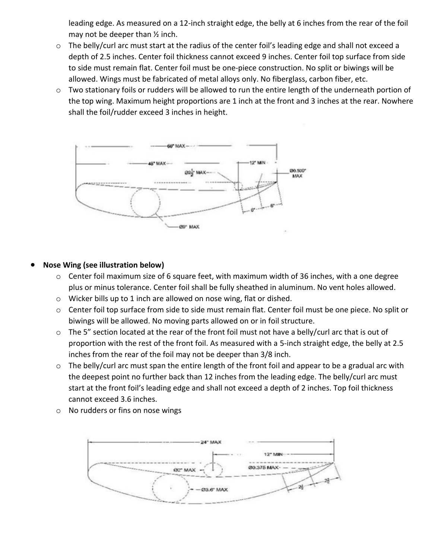leading edge. As measured on a 12-inch straight edge, the belly at 6 inches from the rear of the foil may not be deeper than ½ inch.

- o The belly/curl arc must start at the radius of the center foil's leading edge and shall not exceed a depth of 2.5 inches. Center foil thickness cannot exceed 9 inches. Center foil top surface from side to side must remain flat. Center foil must be one-piece construction. No split or biwings will be allowed. Wings must be fabricated of metal alloys only. No fiberglass, carbon fiber, etc.
- o Two stationary foils or rudders will be allowed to run the entire length of the underneath portion of the top wing. Maximum height proportions are 1 inch at the front and 3 inches at the rear. Nowhere shall the foil/rudder exceed 3 inches in height.



#### • **Nose Wing (see illustration below)**

- o Center foil maximum size of 6 square feet, with maximum width of 36 inches, with a one degree plus or minus tolerance. Center foil shall be fully sheathed in aluminum. No vent holes allowed.
- o Wicker bills up to 1 inch are allowed on nose wing, flat or dished.
- o Center foil top surface from side to side must remain flat. Center foil must be one piece. No split or biwings will be allowed. No moving parts allowed on or in foil structure.
- o The 5" section located at the rear of the front foil must not have a belly/curl arc that is out of proportion with the rest of the front foil. As measured with a 5-inch straight edge, the belly at 2.5 inches from the rear of the foil may not be deeper than 3/8 inch.
- o The belly/curl arc must span the entire length of the front foil and appear to be a gradual arc with the deepest point no further back than 12 inches from the leading edge. The belly/curl arc must start at the front foil's leading edge and shall not exceed a depth of 2 inches. Top foil thickness cannot exceed 3.6 inches.
- o No rudders or fins on nose wings

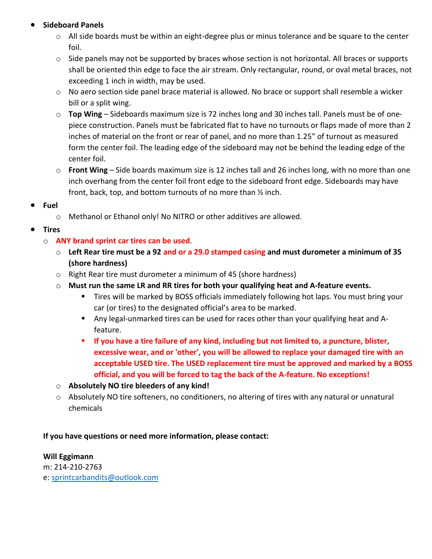## • **Sideboard Panels**

- o All side boards must be within an eight-degree plus or minus tolerance and be square to the center foil.
- $\circ$  Side panels may not be supported by braces whose section is not horizontal. All braces or supports shall be oriented thin edge to face the air stream. Only rectangular, round, or oval metal braces, not exceeding 1 inch in width, may be used.
- o No aero section side panel brace material is allowed. No brace or support shall resemble a wicker bill or a split wing.
- o **Top Wing** Sideboards maximum size is 72 inches long and 30 inches tall. Panels must be of onepiece construction. Panels must be fabricated flat to have no turnouts or flaps made of more than 2 inches of material on the front or rear of panel, and no more than 1.25" of turnout as measured form the center foil. The leading edge of the sideboard may not be behind the leading edge of the center foil.
- o **Front Wing** Side boards maximum size is 12 inches tall and 26 inches long, with no more than one inch overhang from the center foil front edge to the sideboard front edge. Sideboards may have front, back, top, and bottom turnouts of no more than ½ inch.
- **Fuel**
	- o Methanol or Ethanol only! No NITRO or other additives are allowed.
- **Tires**
	- o **ANY brand sprint car tires can be used**.
		- o **Left Rear tire must be a 92 and or a 29.0 stamped casing and must durometer a minimum of 35 (shore hardness)**
		- o Right Rear tire must durometer a minimum of 45 (shore hardness)
		- o **Must run the same LR and RR tires for both your qualifying heat and A-feature events.**
			- Tires will be marked by BOSS officials immediately following hot laps. You must bring your car (or tires) to the designated official's area to be marked.
			- Any legal-unmarked tires can be used for races other than your qualifying heat and Afeature.
			- **If you have a tire failure of any kind, including but not limited to, a puncture, blister, excessive wear, and or 'other', you will be allowed to replace your damaged tire with an acceptable USED tire. The USED replacement tire must be approved and marked by a BOSS official, and you will be forced to tag the back of the A-feature. No exceptions!**
		- o **Absolutely NO tire bleeders of any kind!**
		- o Absolutely NO tire softeners, no conditioners, no altering of tires with any natural or unnatural chemicals

## **If you have questions or need more information, please contact:**

## **Will Eggimann**

m: 214-210-2763 e: [sprintcarbandits@outlook.com](mailto:sprintcarbandits@outlook.com)